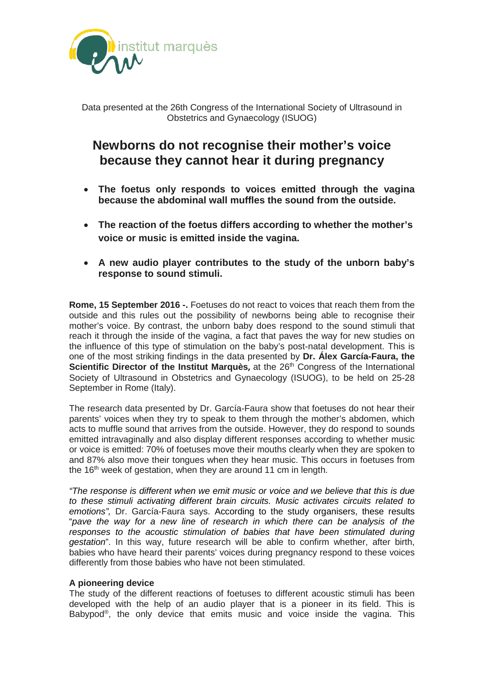

Data presented at the 26th Congress of the International Society of Ultrasound in Obstetrics and Gynaecology (ISUOG)

# **Newborns do not recognise their mother's voice because they cannot hear it during pregnancy**

- **The foetus only responds to voices emitted through the vagina because the abdominal wall muffles the sound from the outside.**
- **The reaction of the foetus differs according to whether the mother's voice or music is emitted inside the vagina.**
- **A new audio player contributes to the study of the unborn baby's response to sound stimuli.**

**Rome, 15 September 2016 -.** Foetuses do not react to voices that reach them from the outside and this rules out the possibility of newborns being able to recognise their mother's voice. By contrast, the unborn baby does respond to the sound stimuli that reach it through the inside of the vagina, a fact that paves the way for new studies on the influence of this type of stimulation on the baby's post-natal development. This is one of the most striking findings in the data presented by **Dr. Álex García-Faura, the Scientific Director of the Institut Marquès, at the 26<sup>th</sup> Congress of the International** Society of Ultrasound in Obstetrics and Gynaecology (ISUOG), to be held on 25-28 September in Rome (Italy).

The research data presented by Dr. García-Faura show that foetuses do not hear their parents' voices when they try to speak to them through the mother's abdomen, which acts to muffle sound that arrives from the outside. However, they do respond to sounds emitted intravaginally and also display different responses according to whether music or voice is emitted: 70% of foetuses move their mouths clearly when they are spoken to and 87% also move their tongues when they hear music. This occurs in foetuses from the 16<sup>th</sup> week of gestation, when they are around 11 cm in length.

*"The response is different when we emit music or voice and we believe that this is due to these stimuli activating different brain circuits. Music activates circuits related to emotions",* Dr. García-Faura says. According to the study organisers, these results "*pave the way for a new line of research in which there can be analysis of the*  responses to the acoustic stimulation of babies that have been stimulated during *gestation*". In this way, future research will be able to confirm whether, after birth, babies who have heard their parents' voices during pregnancy respond to these voices differently from those babies who have not been stimulated.

# **A pioneering device**

The study of the different reactions of foetuses to different acoustic stimuli has been developed with the help of an audio player that is a pioneer in its field. This is Babypod®, the only device that emits music and voice inside the vagina. This